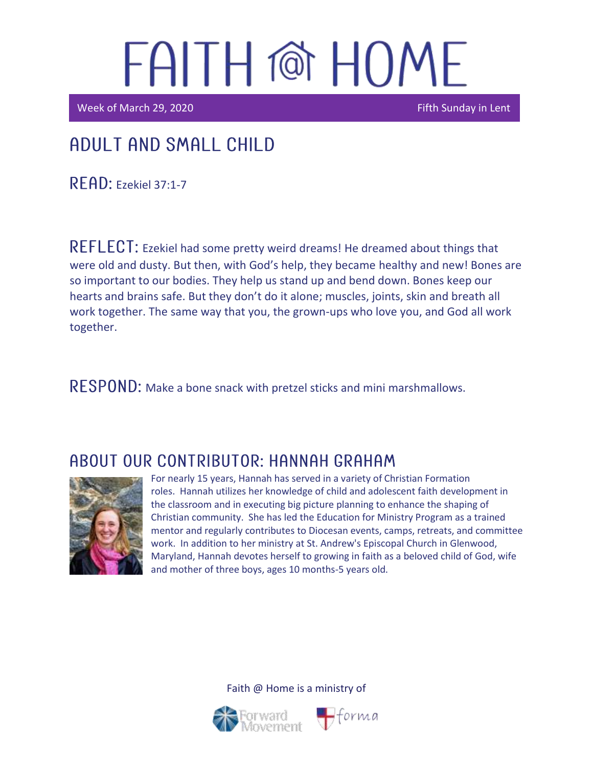Week of March 29, 2020 **Fifth Sunday in Lent** 

### Adult and Small Child

READ: Ezekiel 37:1-7

REFLECT: Ezekiel had some pretty weird dreams! He dreamed about things that were old and dusty. But then, with God's help, they became healthy and new! Bones are so important to our bodies. They help us stand up and bend down. Bones keep our hearts and brains safe. But they don't do it alone; muscles, joints, skin and breath all work together. The same way that you, the grown-ups who love you, and God all work together.

RESPOND: Make a bone snack with pretzel sticks and mini marshmallows.

### ABOUT OUR CONTRIBUTOR: HANNAH GRAHAM



For nearly 15 years, Hannah has served in a variety of Christian Formation roles. Hannah utilizes her knowledge of child and adolescent faith development in the classroom and in executing big picture planning to enhance the shaping of Christian community. She has led the Education for Ministry Program as a trained mentor and regularly contributes to Diocesan events, camps, retreats, and committee work. In addition to her ministry at St. Andrew's Episcopal Church in Glenwood, Maryland, Hannah devotes herself to growing in faith as a beloved child of God, wife and mother of three boys, ages 10 months-5 years old.

Faith @ Home is a ministry of



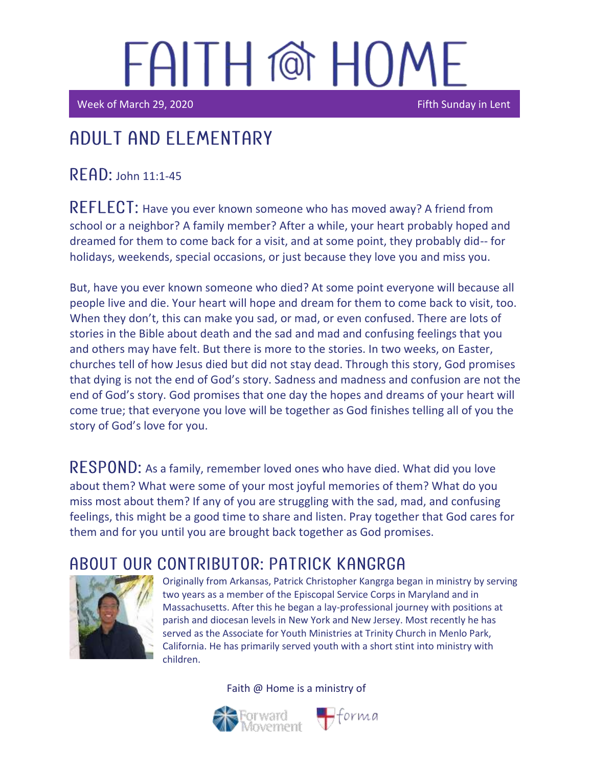Week of March 29, 2020 **Fifth Sunday in Lent** 

## Adult and elementary

 $READ:$  John 11:1-45

REFLECT: Have you ever known someone who has moved away? A friend from school or a neighbor? A family member? After a while, your heart probably hoped and dreamed for them to come back for a visit, and at some point, they probably did-- for holidays, weekends, special occasions, or just because they love you and miss you.

But, have you ever known someone who died? At some point everyone will because all people live and die. Your heart will hope and dream for them to come back to visit, too. When they don't, this can make you sad, or mad, or even confused. There are lots of stories in the Bible about death and the sad and mad and confusing feelings that you and others may have felt. But there is more to the stories. In two weeks, on Easter, churches tell of how Jesus died but did not stay dead. Through this story, God promises that dying is not the end of God's story. Sadness and madness and confusion are not the end of God's story. God promises that one day the hopes and dreams of your heart will come true; that everyone you love will be together as God finishes telling all of you the story of God's love for you.

RESPOND: As a family, remember loved ones who have died. What did you love about them? What were some of your most joyful memories of them? What do you miss most about them? If any of you are struggling with the sad, mad, and confusing feelings, this might be a good time to share and listen. Pray together that God cares for them and for you until you are brought back together as God promises.

### ABOUT OUR CONTRIBUTOR: PATRICK KANGRGA



Originally from Arkansas, Patrick Christopher Kangrga began in ministry by serving two years as a member of the Episcopal Service Corps in Maryland and in Massachusetts. After this he began a lay-professional journey with positions at parish and diocesan levels in New York and New Jersey. Most recently he has served as the Associate for Youth Ministries at Trinity Church in Menlo Park, California. He has primarily served youth with a short stint into ministry with children.

Faith @ Home is a ministry of

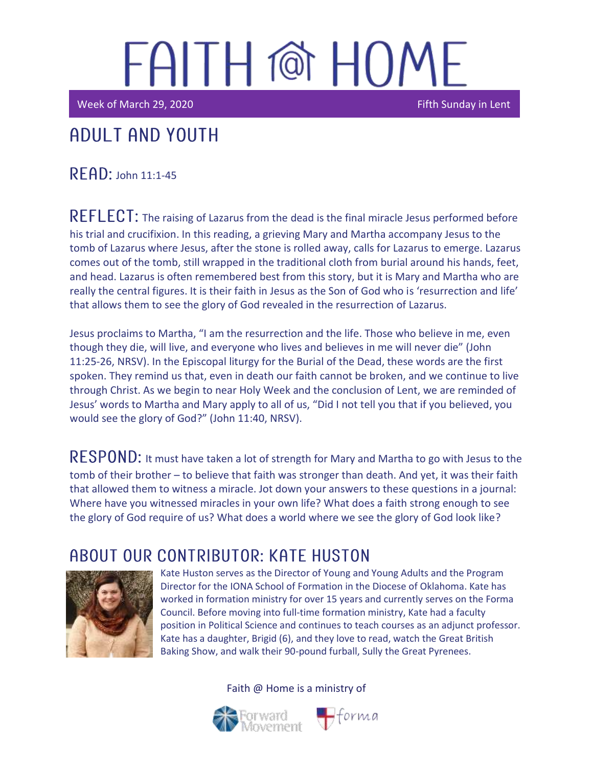Week of March 29, 2020 **Fifth Sunday in Lent** 

## Adult and youth

 $R$  $F$  $AD:$  John 11:1-45

REFLECT: The raising of Lazarus from the dead is the final miracle Jesus performed before his trial and crucifixion. In this reading, a grieving Mary and Martha accompany Jesus to the tomb of Lazarus where Jesus, after the stone is rolled away, calls for Lazarus to emerge. Lazarus comes out of the tomb, still wrapped in the traditional cloth from burial around his hands, feet, and head. Lazarus is often remembered best from this story, but it is Mary and Martha who are really the central figures. It is their faith in Jesus as the Son of God who is 'resurrection and life' that allows them to see the glory of God revealed in the resurrection of Lazarus.

Jesus proclaims to Martha, "I am the resurrection and the life. Those who believe in me, even though they die, will live, and everyone who lives and believes in me will never die" (John 11:25-26, NRSV). In the Episcopal liturgy for the Burial of the Dead, these words are the first spoken. They remind us that, even in death our faith cannot be broken, and we continue to live through Christ. As we begin to near Holy Week and the conclusion of Lent, we are reminded of Jesus' words to Martha and Mary apply to all of us, "Did I not tell you that if you believed, you would see the glory of God?" (John 11:40, NRSV).

RESPOND: It must have taken a lot of strength for Mary and Martha to go with Jesus to the tomb of their brother – to believe that faith was stronger than death. And yet, it was their faith that allowed them to witness a miracle. Jot down your answers to these questions in a journal: Where have you witnessed miracles in your own life? What does a faith strong enough to see the glory of God require of us? What does a world where we see the glory of God look like?

### ABOUT OUR CONTRIBUTOR: KATE HUSTON



Kate Huston serves as the Director of Young and Young Adults and the Program Director for the IONA School of Formation in the Diocese of Oklahoma. Kate has worked in formation ministry for over 15 years and currently serves on the Forma Council. Before moving into full-time formation ministry, Kate had a faculty position in Political Science and continues to teach courses as an adjunct professor. Kate has a daughter, Brigid (6), and they love to read, watch the Great British Baking Show, and walk their 90-pound furball, Sully the Great Pyrenees.

Faith @ Home is a ministry of